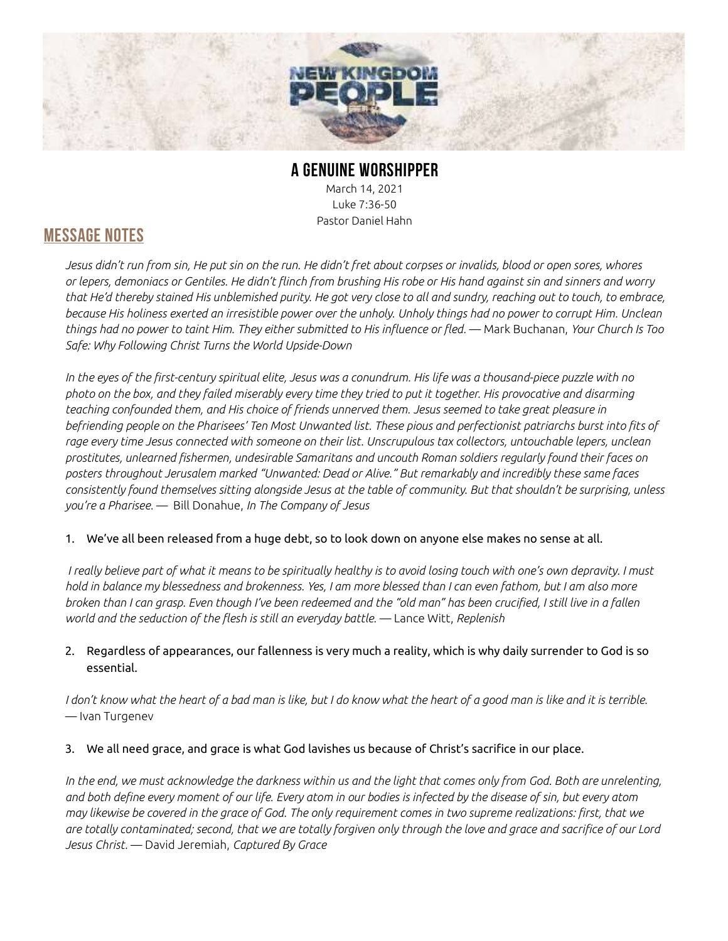

# A GENUINE WORSHIPPER

March 14, 2021 Luke 7:36-50 Pastor Daniel Hahn

### MESSAGE NOTES

Jesus didn't run from sin, He put sin on the run. He didn't fret about corpses or invalids, blood or open sores, whores or lepers, demoniacs or Gentiles. He didn't flinch from brushing His robe or His hand against sin and sinners and worry that He'd thereby stained His unblemished purity. He got very close to all and sundry, reaching out to touch, to embrace, because His holiness exerted an irresistible power over the unholy. Unholy things had no power to corrupt Him. Unclean things had no power to taint Him. They either submitted to His influence or fled. — Mark Buchanan, Your Church Is Too Safe: Why Following Christ Turns the World Upside-Down

In the eyes of the first-century spiritual elite, Jesus was a conundrum. His life was a thousand-piece puzzle with no photo on the box, and they failed miserably every time they tried to put it together. His provocative and disarming teaching confounded them, and His choice of friends unnerved them. Jesus seemed to take great pleasure in befriending people on the Pharisees' Ten Most Unwanted list. These pious and perfectionist patriarchs burst into fits of rage every time Jesus connected with someone on their list. Unscrupulous tax collectors, untouchable lepers, unclean prostitutes, unlearned fishermen, undesirable Samaritans and uncouth Roman soldiers regularly found their faces on posters throughout Jerusalem marked "Unwanted: Dead or Alive." But remarkably and incredibly these same faces consistently found themselves sitting alongside Jesus at the table of community. But that shouldn't be surprising, unless you're a Pharisee. — Bill Donahue, In The Company of Jesus

#### 1. We've all been released from a huge debt, so to look down on anyone else makes no sense at all.

 I really believe part of what it means to be spiritually healthy is to avoid losing touch with one's own depravity. I must hold in balance my blessedness and brokenness. Yes, I am more blessed than I can even fathom, but I am also more broken than I can grasp. Even though I've been redeemed and the "old man" has been crucified, I still live in a fallen world and the seduction of the flesh is still an everyday battle. — Lance Witt, Replenish

#### 2. Regardless of appearances, our fallenness is very much a reality, which is why daily surrender to God is so essential.

I don't know what the heart of a bad man is like, but I do know what the heart of a good man is like and it is terrible. — Ivan Turgenev

#### 3. We all need grace, and grace is what God lavishes us because of Christ's sacrifice in our place.

In the end, we must acknowledge the darkness within us and the light that comes only from God. Both are unrelenting, and both define every moment of our life. Every atom in our bodies is infected by the disease of sin, but every atom may likewise be covered in the grace of God. The only requirement comes in two supreme realizations: first, that we are totally contaminated; second, that we are totally forgiven only through the love and grace and sacrifice of our Lord Jesus Christ. - David Jeremiah, Captured By Grace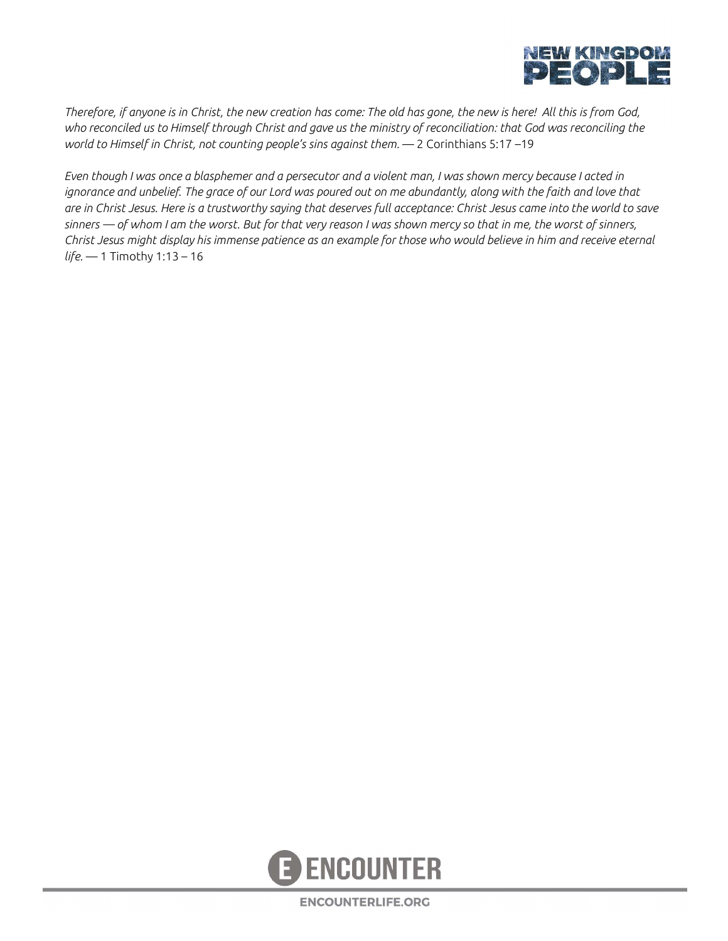

Therefore, if anyone is in Christ, the new creation has come: The old has gone, the new is here! All this is from God, who reconciled us to Himself through Christ and gave us the ministry of reconciliation: that God was reconciling the world to Himself in Christ, not counting people's sins against them. — 2 Corinthians 5:17 –19

Even though I was once a blasphemer and a persecutor and a violent man, I was shown mercy because I acted in ignorance and unbelief. The grace of our Lord was poured out on me abundantly, along with the faith and love that are in Christ Jesus. Here is a trustworthy saying that deserves full acceptance: Christ Jesus came into the world to save sinners  $-$  of whom I am the worst. But for that very reason I was shown mercy so that in me, the worst of sinners, Christ Jesus might display his immense patience as an example for those who would believe in him and receive eternal life. — 1 Timothy 1:13 – 16



**ENCOUNTERLIFE.ORG**